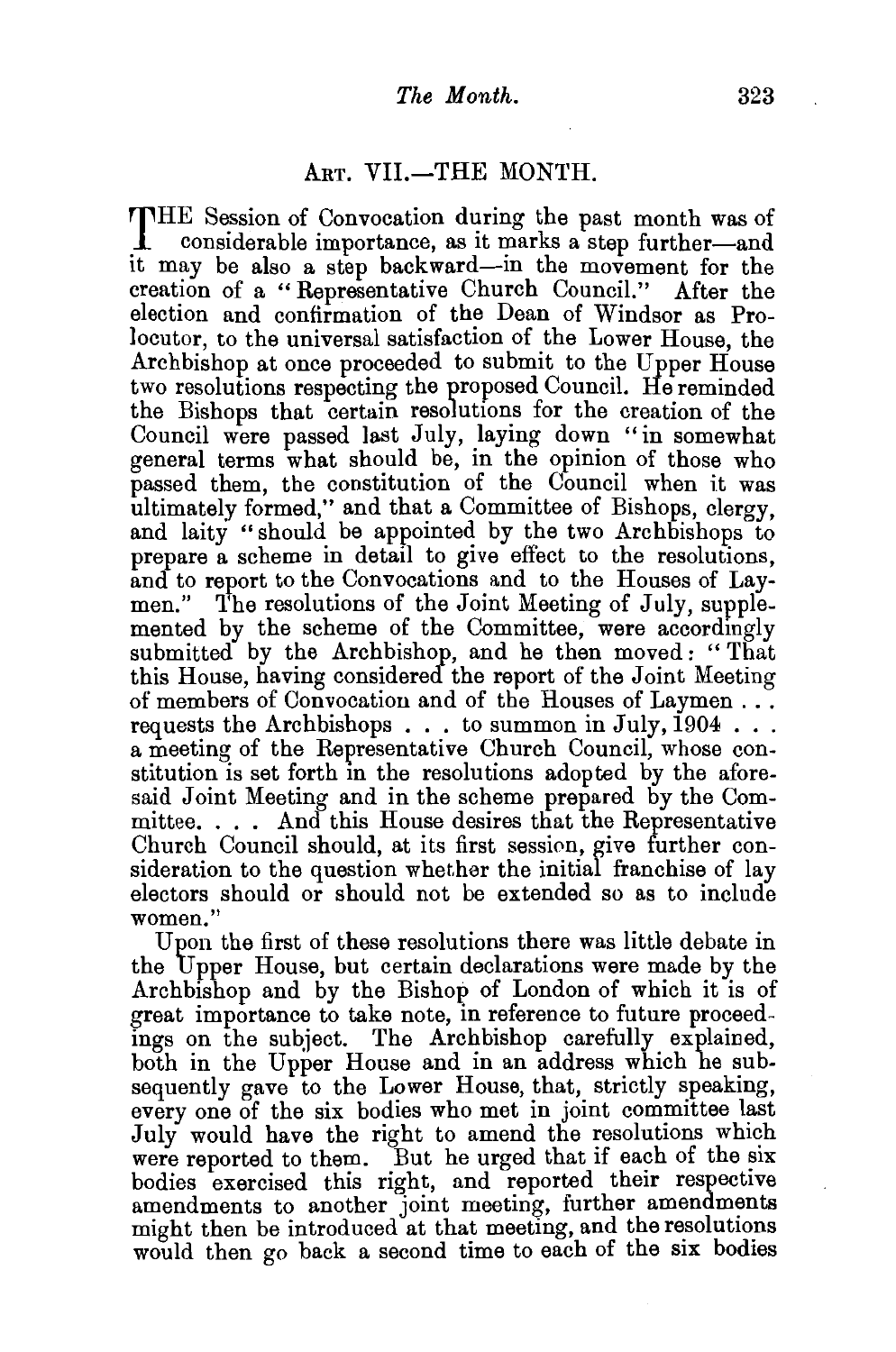## ART. VII.-THE MONTH.

THE Session of Convocation during the past month was of considerable importance, as it marks a step further-and it may be also a step backward-in the movement for the creation of a "Representative Church Council." After the election and confirmation of the Dean of Windsor as Prolocutor, to the universal satisfaction of the Lower House, the Archbishop at once proceeded to submit to the Upper House two resolutions respecting the proposed Council. He reminded the Bishops that certain resolutions for the creation of the Council were passed last July, laying down "in somewhat general terms what should be, in the opinion of those who passed them, the constitution of the Council when it was ultimately formed," and that a Committee of Bishops, clergy, and laity " should be appointed by the two Archbishops to prepare a scheme in detail to give effect to the resolutions, and to report to the Convocations and to the Houses of Laymen." The resolutions of the Joint Meeting of July, supplemented by the scheme of the Committee, were accordingly submitted by the Archbishop, and he then moved: "That this House, having considered the report of the Joint Meeting of members of Convocation and of the Houses of Laymen .. . requests the Archbishops  $\dots$  to summon in July, 1904  $\dots$ a meeting of the Representative Church Council, whose constitution is set forth in the resolutions adopted by the aforesaid Joint Meeting and in the scheme prepared by the Committee. . . . And this House desires that the Representative Church Council should, at its first session, give further consideration to the question whether the initial franchise of lay electors should or should not be extended so as to include women."

Upon the first of these resolutions there was little debate in the Upper House, but certain declarations were made by the Archbishop and by the Bishop of London of which it is of great importance to take note, in reference to future proceedings on the subject. The Archbishop carefully explained, both in the Upper House and in an address which he subsequently gave to the Lower House, that, strictly speaking, every one of the six bodies who met in joint committee last July would have the right to amend the resolutions which were reported to them. But he urged that if each of the six bodies exercised this right, and reported their respective amendments to another joint meeting, further amendments might then be introduced at that meeting, and the resolutions would then go back a second time to each of the six bodies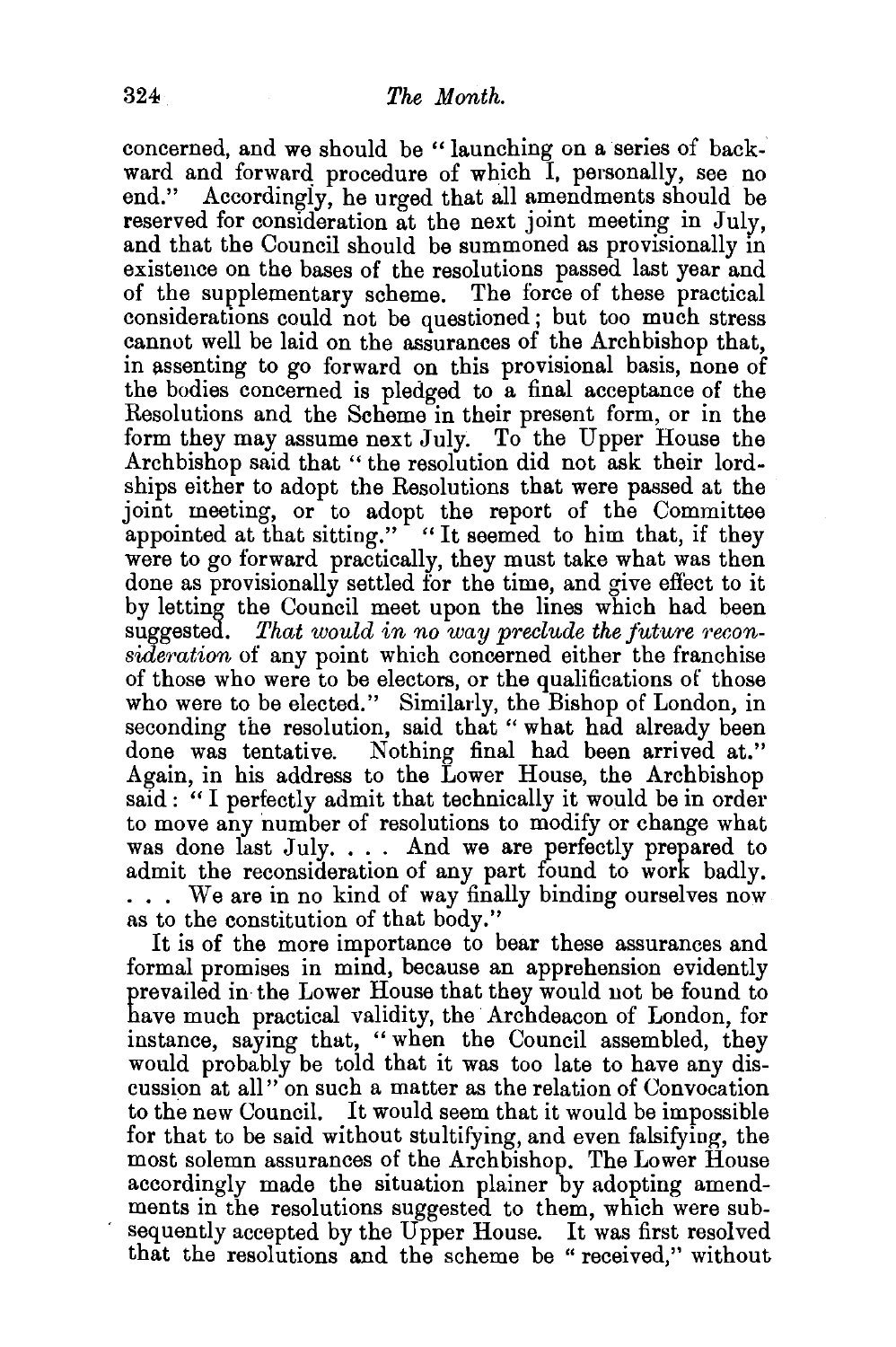concerned, and we should be " launching on a series of backward and forward procedure of which I, personally, see no end." Accordingly, he urged that all amendments should be reserved for consideration at the next joint meeting in July, and that the Council should be summoned as provisionally in existence on the bases of the resolutions passed last year and of the supplementary scheme. The force of these practical considerations could not be questioned; but too much stress cannot well be laid on the assurances of the Archbishop that, in assenting to go forward on this provisional basis, none of the bodies concerned is pledged to a final acceptance of the Resolutions and the Scheme in their present form, or in the form they may assume next July. To the Upper House the Archbishop said that " the resolution did not ask their lordships either to adopt the Resolutions that were passed at the joint meeting, or to adopt the report of the Committee appointed at that sitting." "It seemed to him that, if they were to go forward practically, they must take what was then done as provisionally settled for the time, and give effect to it by letting the Council meet upon the lines which had been suggested. That would in no way preclude the future recon*sideration* of any point which concerned either the franchise of those who were to be electors, or the qualifications of those who were to be elected." Similarly, the Bishop of London, in seconding the resolution, said that " what had already been done was tentative. Nothing final had been arrived at." Again, in his address to the Lower House, the Archbishop said : "I perfectly admit that technically it would be in order to move any 'number of resolutions to modify or change what was done last July. . . . And we are perfectly prepared to admit the reconsideration of any part found to work badly. ... We are in no kind of way finally binding ourselves now as to the constitution of that body."

It is of the more importance to bear these assurances and formal promises in mind, because an apprehension evidently prevailed in the Lower House that they would not be found to have much practical validity, the Archdeacon of London, for instance, saying that, "when the Council assembled, they would probably be told that it was too late to have any discussion at all" on such a matter as the relation of Convocation to the new Council. It would seem that it would be impossible for that to be said without stultifying, and even falsifying, the most solemn assurances of the Archbishop. The Lower House accordingly made the situation plainer by adopting amendments in the resolutions suggested to them, which were subsequently accepted by the Upper House. It was first resolved that the resolutions and the scheme be "received," without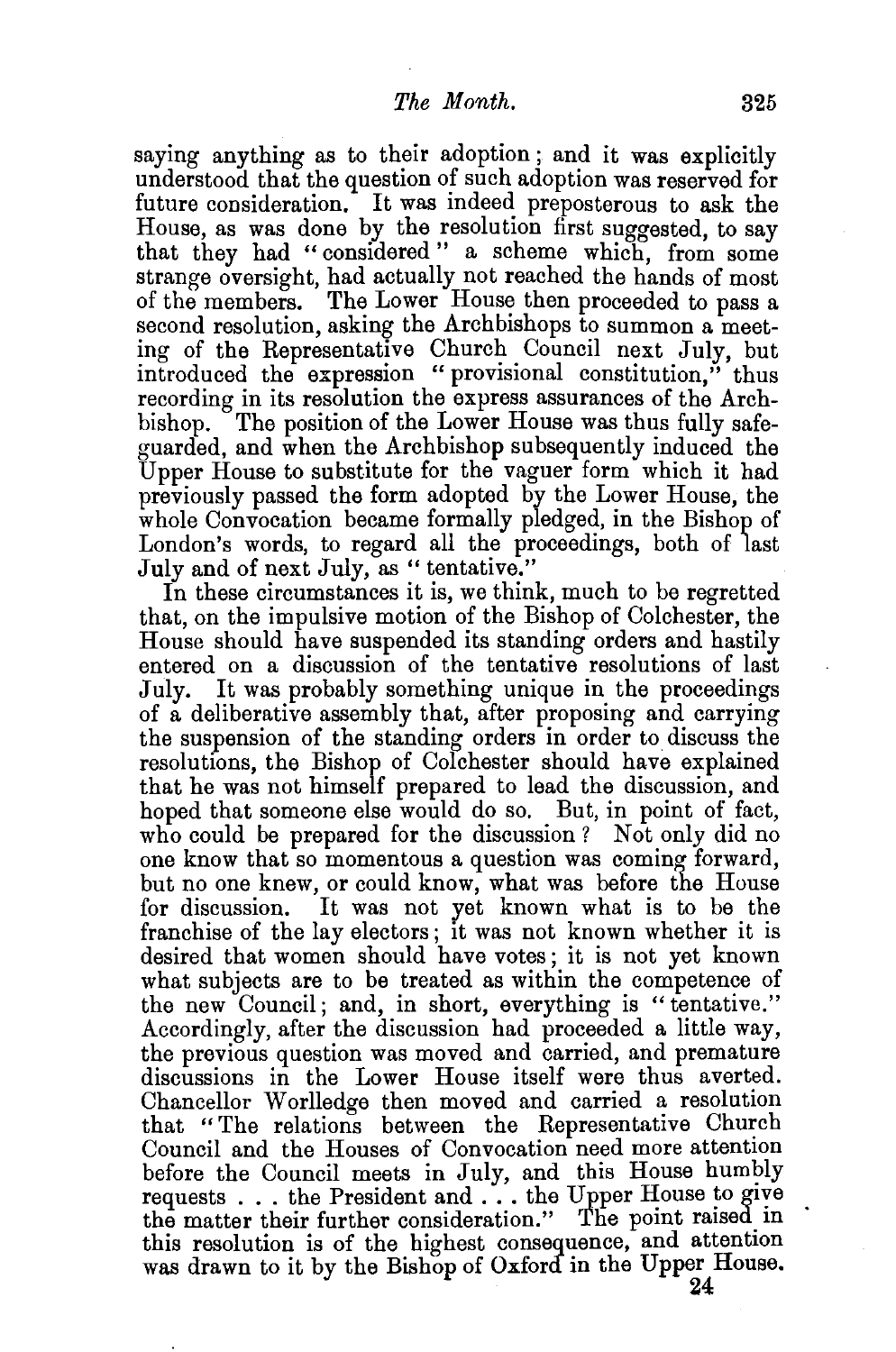saying anything as to their adoption ; and it was explicitly understood that the question of such adoption was reserved for future consideration. It was indeed preposterous to ask the House, as was done by the resolution first suggested, to say that they had "considered" a scheme which, from some strange oversight, had actually not reached the hands of most of the members. The Lower House then proceeded to pass a second resolution, asking the Archbishops to summon a meeting of the Representative Church Council next July, but introduced the expression " provisional constitution," thus recording in its resolution the express assurances of the Archbishop. The position of the Lower House was thus fully safeguarded, and when the Archbishop subsequently induced the Upper House to substitute for the vaguer form which it had previously passed the form adopted by the Lower House, the whole Convocation became formally pledged, in the Bishop of London's words, to regard all the proceedings, both of last July and of next July, as "tentative."

In these circumstances it is, we think, much to be regretted that, on the impulsive motion of the Bishop of Colchester, the House should have suspended its standing orders and hastily entered on a discussion of the tentative resolutions of last July. It was probably something unique in the proceedings of a deliberative assembly that, after proposing and carrying the suspension of the standing orders in order to discuss the resolutions, the Bishop of Colchester should have explained that he was not himself prepared to lead the discussion, and hoped that someone else would do so. But, in point of fact, who could be prepared for the discussion ? Not only did no one know that so momentous a question was coming forward, but no one knew, or could know, what was before the House for discussion. It was not yet known what is to be the franchise of the lay electors; it was not known whether it is desired that women should have votes; it is not yet known what subjects are to be treated as within the competence of the new Council; and, in short, everything is "tentative." Accordingly, after the discussion had proceeded a little way, the previous question was moved and carried, and premature discussions in the Lower House itself were thus averted. Chancellor Worlledge then moved and carried a resolution that "The relations between the Representative Church Council and the Houses of Convocation need more attention before the Council meets in July, and this House humbly requests  $\dots$  the President and  $\dots$  the Upper House to give the matter their further consideration." The point raised in this resolution is of the highest consequence, and attention was drawn to it by the Bishop of Oxford in the Upper House.

24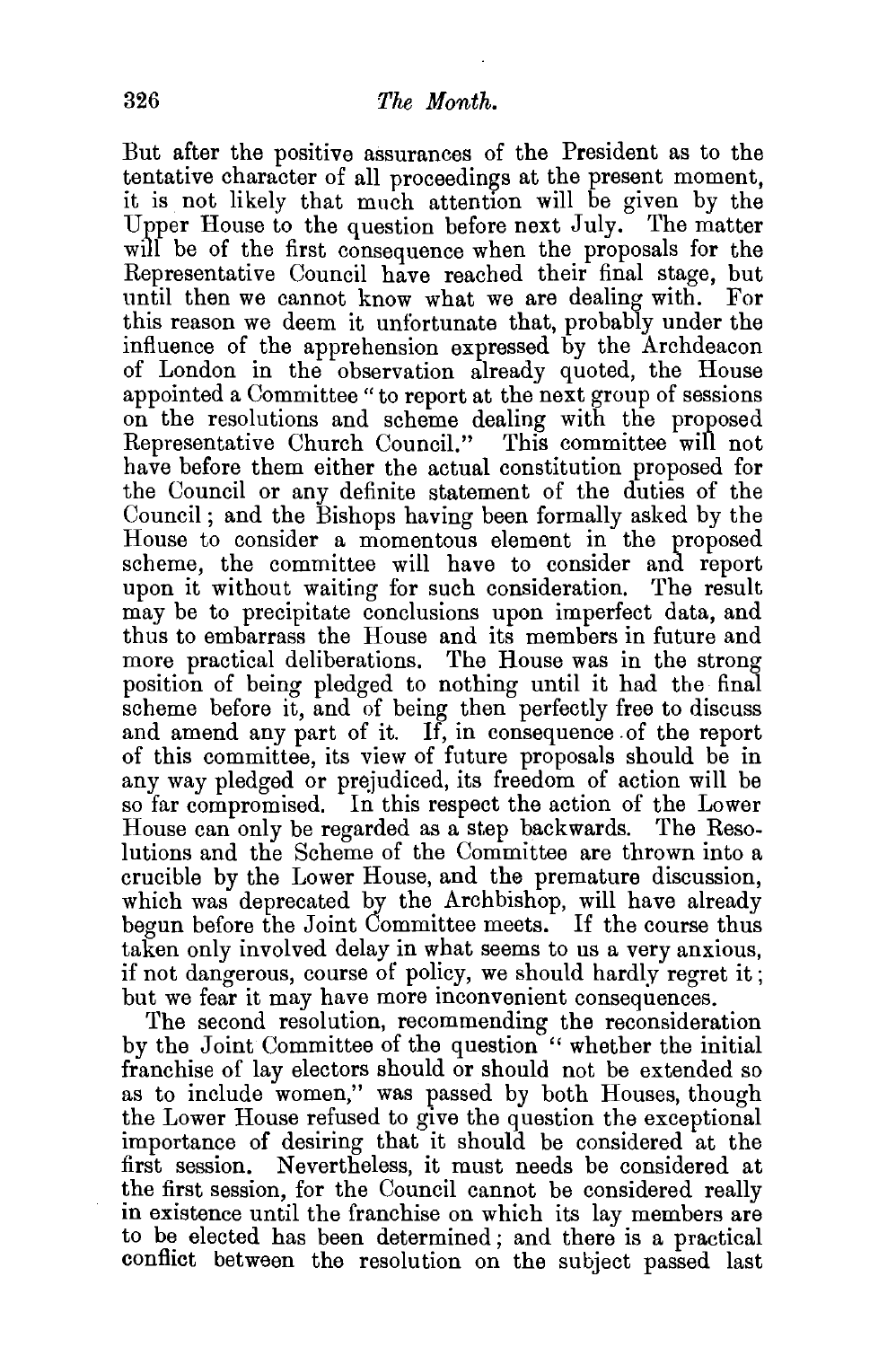But after the positive assurances of the President as to the tentative character of all proceedings at the present moment, it is not likely that much attention will be given by the Upper House to the question before next July. The matter will be of the first consequence when the proposals for the Representative Council have reached their final stage, but until then we cannot know what we are dealing with. For this reason we deem it unfortunate that, probably under the influence of the apprehension expressed by the Archdeacon of London in the observation already quoted, the House appointed a Committee "to report at the next group of sessions on the resolutions and scheme dealing with the proposed Representative Church Council." This committee will not have before them either the actual constitution proposed for the Council or any definite statement of the duties of the Council; and the Bishops having been formally asked by the House to consider a momentous element in the proposed scheme, the committee will have to consider and report upon it without waiting for such consideration. The result may be to precipitate conclusions upon imperfect data, and thus to embarrass the House and its members in future and more practical deliberations. The House was in the strong position of being pledged to nothing until it had the final scheme before it, and of being then perfectly free to discuss and amend any part of it. If, in consequence .of the report of this committee, its view of future proposals should be in any way pledged or prejudiced, its freedom of action will be so far compromised. In this respect the action of the Lower House can only be regarded as a step backwards. The Resolutions and the Scheme of the Committee are thrown into a crucible by the Lower House, and the premature discussion, which was deprecated by the Archbishop, will have already begun before the Joint Committee meets. If the course thus taken only involved delay in what seems to us a very anxious, if not dangerous, course of policy, we should hardly regret it ; but we fear it may have more inconvenient consequences.

The second resolution, recommending the reconsideration by the Joint Committee of the question "whether the initial franchise of lay electors should or should not be extended so as to include women," was passed by both Houses, though the Lower House refused to give the question the exceptional importance of desiring that it should be considered at the first session. Nevertheless, it must needs be considered at the first session, for the Council cannot be considered really in existence until the franchise on which its lay members are to be elected has been determined ; and there is a practical conflict between the resolution on the subject passed last